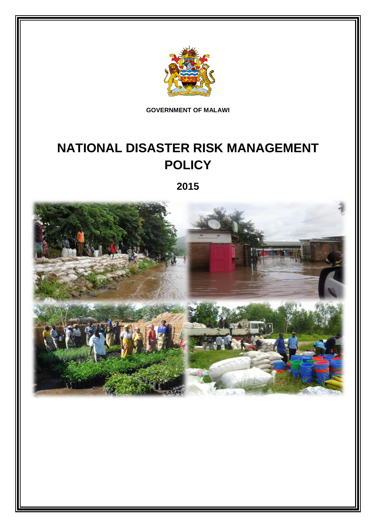

**GOVERNMENT OF MALAWI**

# **NATIONAL DISASTER RISK MANAGEMENT POLICY**

**2015**

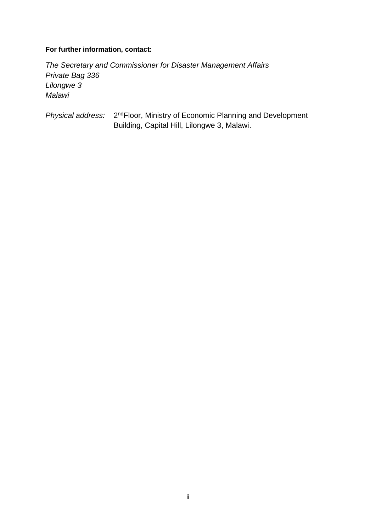### **For further information, contact:**

*The Secretary and Commissioner for Disaster Management Affairs Private Bag 336 Lilongwe 3 Malawi*

Physical address: 2<sup>nd</sup>Floor, Ministry of Economic Planning and Development Building, Capital Hill, Lilongwe 3, Malawi.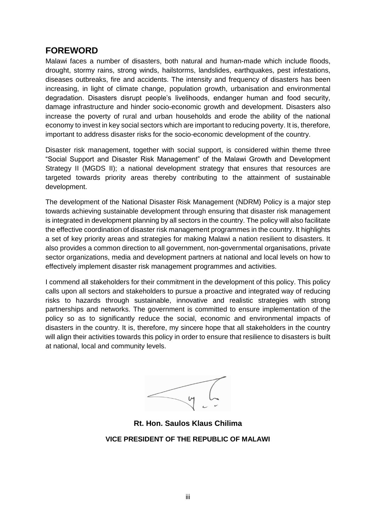### <span id="page-2-0"></span>**FOREWORD**

Malawi faces a number of disasters, both natural and human-made which include floods, drought, stormy rains, strong winds, hailstorms, landslides, earthquakes, pest infestations, diseases outbreaks, fire and accidents. The intensity and frequency of disasters has been increasing, in light of climate change, population growth, urbanisation and environmental degradation. Disasters disrupt people's livelihoods, endanger human and food security, damage infrastructure and hinder socio-economic growth and development. Disasters also increase the poverty of rural and urban households and erode the ability of the national economy to invest in key social sectors which are important to reducing poverty. It is, therefore, important to address disaster risks for the socio-economic development of the country.

Disaster risk management, together with social support, is considered within theme three "Social Support and Disaster Risk Management" of the Malawi Growth and Development Strategy II (MGDS II); a national development strategy that ensures that resources are targeted towards priority areas thereby contributing to the attainment of sustainable development.

The development of the National Disaster Risk Management (NDRM) Policy is a major step towards achieving sustainable development through ensuring that disaster risk management is integrated in development planning by all sectors in the country. The policy will also facilitate the effective coordination of disaster risk management programmes in the country. It highlights a set of key priority areas and strategies for making Malawi a nation resilient to disasters. It also provides a common direction to all government, non-governmental organisations, private sector organizations, media and development partners at national and local levels on how to effectively implement disaster risk management programmes and activities.

I commend all stakeholders for their commitment in the development of this policy. This policy calls upon all sectors and stakeholders to pursue a proactive and integrated way of reducing risks to hazards through sustainable, innovative and realistic strategies with strong partnerships and networks. The government is committed to ensure implementation of the policy so as to significantly reduce the social, economic and environmental impacts of disasters in the country. It is, therefore, my sincere hope that all stakeholders in the country will align their activities towards this policy in order to ensure that resilience to disasters is built at national, local and community levels.

**Rt. Hon. Saulos Klaus Chilima VICE PRESIDENT OF THE REPUBLIC OF MALAWI**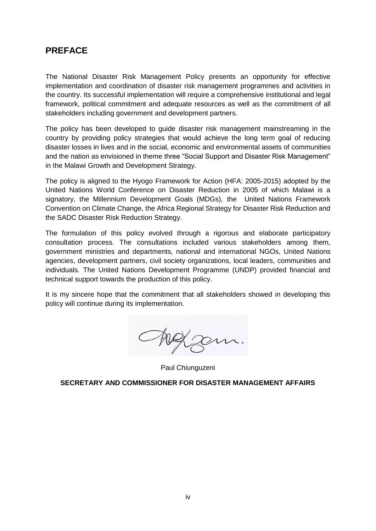### <span id="page-3-0"></span>**PREFACE**

The National Disaster Risk Management Policy presents an opportunity for effective implementation and coordination of disaster risk management programmes and activities in the country. Its successful implementation will require a comprehensive institutional and legal framework, political commitment and adequate resources as well as the commitment of all stakeholders including government and development partners.

The policy has been developed to guide disaster risk management mainstreaming in the country by providing policy strategies that would achieve the long term goal of reducing disaster losses in lives and in the social, economic and environmental assets of communities and the nation as envisioned in theme three "Social Support and Disaster Risk Management" in the Malawi Growth and Development Strategy.

The policy is aligned to the Hyogo Framework for Action (HFA: 2005-2015) adopted by the United Nations World Conference on Disaster Reduction in 2005 of which Malawi is a signatory, the Millennium Development Goals (MDGs), the United Nations Framework Convention on Climate Change, the Africa Regional Strategy for Disaster Risk Reduction and the SADC Disaster Risk Reduction Strategy.

The formulation of this policy evolved through a rigorous and elaborate participatory consultation process. The consultations included various stakeholders among them, government ministries and departments, national and international NGOs, United Nations agencies, development partners, civil society organizations, local leaders, communities and individuals. The United Nations Development Programme (UNDP) provided financial and technical support towards the production of this policy.

It is my sincere hope that the commitment that all stakeholders showed in developing this policy will continue during its implementation.

Auggem.

Paul Chiunguzeni

**SECRETARY AND COMMISSIONER FOR DISASTER MANAGEMENT AFFAIRS**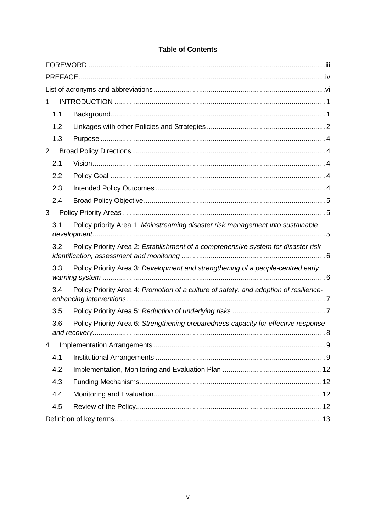| 1 |                                                                                          |                                                                                       |  |  |  |
|---|------------------------------------------------------------------------------------------|---------------------------------------------------------------------------------------|--|--|--|
|   | 1.1                                                                                      |                                                                                       |  |  |  |
|   | 1.2                                                                                      |                                                                                       |  |  |  |
|   | 1.3                                                                                      |                                                                                       |  |  |  |
| 2 |                                                                                          |                                                                                       |  |  |  |
|   | 2.1                                                                                      |                                                                                       |  |  |  |
|   | 2.2                                                                                      |                                                                                       |  |  |  |
|   | 2.3                                                                                      |                                                                                       |  |  |  |
|   | 2.4                                                                                      |                                                                                       |  |  |  |
| 3 |                                                                                          |                                                                                       |  |  |  |
|   | 3.1                                                                                      | Policy priority Area 1: Mainstreaming disaster risk management into sustainable       |  |  |  |
|   | Policy Priority Area 2: Establishment of a comprehensive system for disaster risk<br>3.2 |                                                                                       |  |  |  |
|   | 3.3                                                                                      | Policy Priority Area 3: Development and strengthening of a people-centred early       |  |  |  |
|   | 3.4                                                                                      | Policy Priority Area 4: Promotion of a culture of safety, and adoption of resilience- |  |  |  |
|   | 3.5                                                                                      |                                                                                       |  |  |  |
|   | 3.6                                                                                      | Policy Priority Area 6: Strengthening preparedness capacity for effective response    |  |  |  |
| 4 |                                                                                          |                                                                                       |  |  |  |
|   | 4.1                                                                                      |                                                                                       |  |  |  |
|   | 4.2                                                                                      |                                                                                       |  |  |  |
|   | 4.3                                                                                      |                                                                                       |  |  |  |
|   | 4.4                                                                                      |                                                                                       |  |  |  |
|   | 4.5                                                                                      |                                                                                       |  |  |  |
|   |                                                                                          |                                                                                       |  |  |  |

### **Table of Contents**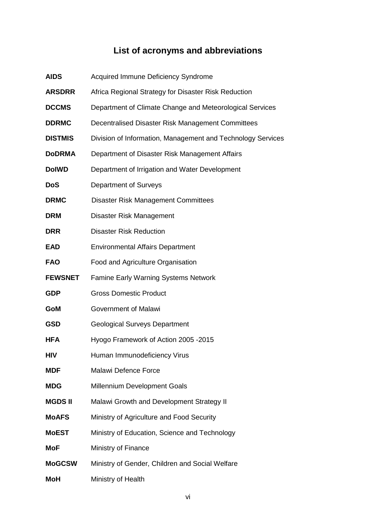## **List of acronyms and abbreviations**

<span id="page-5-0"></span>

| <b>AIDS</b>    | Acquired Immune Deficiency Syndrome                         |
|----------------|-------------------------------------------------------------|
| <b>ARSDRR</b>  | Africa Regional Strategy for Disaster Risk Reduction        |
| <b>DCCMS</b>   | Department of Climate Change and Meteorological Services    |
| <b>DDRMC</b>   | Decentralised Disaster Risk Management Committees           |
| <b>DISTMIS</b> | Division of Information, Management and Technology Services |
| <b>DoDRMA</b>  | Department of Disaster Risk Management Affairs              |
| <b>DolWD</b>   | Department of Irrigation and Water Development              |
| <b>DoS</b>     | Department of Surveys                                       |
| <b>DRMC</b>    | <b>Disaster Risk Management Committees</b>                  |
| <b>DRM</b>     | Disaster Risk Management                                    |
| <b>DRR</b>     | <b>Disaster Risk Reduction</b>                              |
| <b>EAD</b>     | <b>Environmental Affairs Department</b>                     |
| <b>FAO</b>     | Food and Agriculture Organisation                           |
| <b>FEWSNET</b> | <b>Famine Early Warning Systems Network</b>                 |
| <b>GDP</b>     | <b>Gross Domestic Product</b>                               |
| GoM            | <b>Government of Malawi</b>                                 |
| <b>GSD</b>     | <b>Geological Surveys Department</b>                        |
| <b>HFA</b>     | Hyogo Framework of Action 2005 - 2015                       |
| HIV            | Human Immunodeficiency Virus                                |
| <b>MDF</b>     | Malawi Defence Force                                        |
| <b>MDG</b>     | Millennium Development Goals                                |
| <b>MGDSII</b>  | Malawi Growth and Development Strategy II                   |
| <b>MoAFS</b>   | Ministry of Agriculture and Food Security                   |
| <b>MoEST</b>   | Ministry of Education, Science and Technology               |
| <b>MoF</b>     | Ministry of Finance                                         |
| <b>MoGCSW</b>  | Ministry of Gender, Children and Social Welfare             |
| <b>MoH</b>     | Ministry of Health                                          |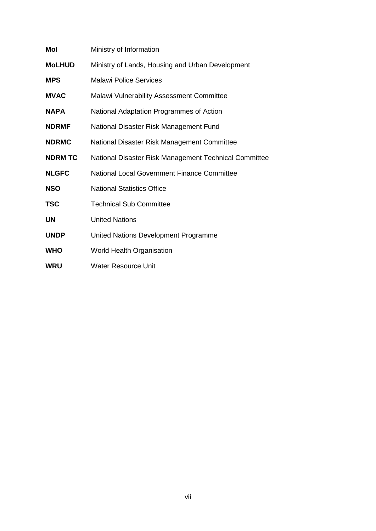| Mol            | Ministry of Information                               |
|----------------|-------------------------------------------------------|
| <b>MoLHUD</b>  | Ministry of Lands, Housing and Urban Development      |
| <b>MPS</b>     | <b>Malawi Police Services</b>                         |
| <b>MVAC</b>    | Malawi Vulnerability Assessment Committee             |
| <b>NAPA</b>    | National Adaptation Programmes of Action              |
| <b>NDRMF</b>   | National Disaster Risk Management Fund                |
| <b>NDRMC</b>   | National Disaster Risk Management Committee           |
| <b>NDRM TC</b> | National Disaster Risk Management Technical Committee |
| <b>NLGFC</b>   | National Local Government Finance Committee           |
| <b>NSO</b>     | <b>National Statistics Office</b>                     |
| <b>TSC</b>     | <b>Technical Sub Committee</b>                        |
| <b>UN</b>      | <b>United Nations</b>                                 |
| <b>UNDP</b>    | United Nations Development Programme                  |
| <b>WHO</b>     | <b>World Health Organisation</b>                      |
| <b>WRU</b>     | <b>Water Resource Unit</b>                            |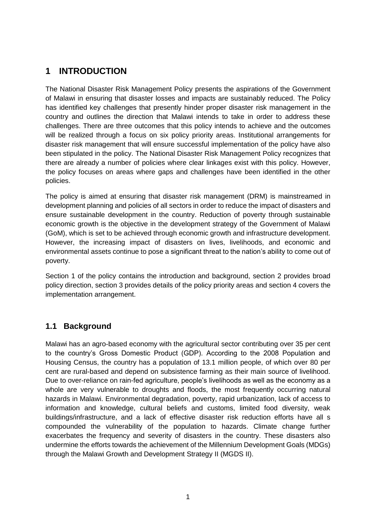### <span id="page-7-0"></span>**1 INTRODUCTION**

The National Disaster Risk Management Policy presents the aspirations of the Government of Malawi in ensuring that disaster losses and impacts are sustainably reduced. The Policy has identified key challenges that presently hinder proper disaster risk management in the country and outlines the direction that Malawi intends to take in order to address these challenges. There are three outcomes that this policy intends to achieve and the outcomes will be realized through a focus on six policy priority areas. Institutional arrangements for disaster risk management that will ensure successful implementation of the policy have also been stipulated in the policy. The National Disaster Risk Management Policy recognizes that there are already a number of policies where clear linkages exist with this policy. However, the policy focuses on areas where gaps and challenges have been identified in the other policies.

The policy is aimed at ensuring that disaster risk management (DRM) is mainstreamed in development planning and policies of all sectors in order to reduce the impact of disasters and ensure sustainable development in the country. Reduction of poverty through sustainable economic growth is the objective in the development strategy of the Government of Malawi (GoM), which is set to be achieved through economic growth and infrastructure development. However, the increasing impact of disasters on lives, livelihoods, and economic and environmental assets continue to pose a significant threat to the nation's ability to come out of poverty.

Section 1 of the policy contains the introduction and background, section 2 provides broad policy direction, section 3 provides details of the policy priority areas and section 4 covers the implementation arrangement.

### <span id="page-7-1"></span>**1.1 Background**

Malawi has an agro-based economy with the agricultural sector contributing over 35 per cent to the country's Gross Domestic Product (GDP). According to the 2008 Population and Housing Census, the country has a population of 13.1 million people, of which over 80 per cent are rural-based and depend on subsistence farming as their main source of livelihood. Due to over-reliance on rain-fed agriculture, people's livelihoods as well as the economy as a whole are very vulnerable to droughts and floods, the most frequently occurring natural hazards in Malawi. Environmental degradation, poverty, rapid urbanization, lack of access to information and knowledge, cultural beliefs and customs, limited food diversity, weak buildings/infrastructure, and a lack of effective disaster risk reduction efforts have all s compounded the vulnerability of the population to hazards. Climate change further exacerbates the frequency and severity of disasters in the country. These disasters also undermine the efforts towards the achievement of the Millennium Development Goals (MDGs) through the Malawi Growth and Development Strategy II (MGDS II).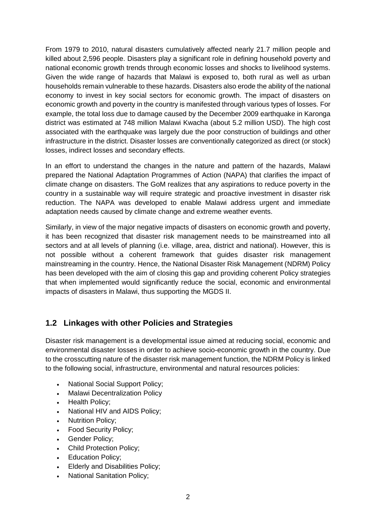From 1979 to 2010, natural disasters cumulatively affected nearly 21.7 million people and killed about 2,596 people. Disasters play a significant role in defining household poverty and national economic growth trends through economic losses and shocks to livelihood systems. Given the wide range of hazards that Malawi is exposed to, both rural as well as urban households remain vulnerable to these hazards. Disasters also erode the ability of the national economy to invest in key social sectors for economic growth. The impact of disasters on economic growth and poverty in the country is manifested through various types of losses. For example, the total loss due to damage caused by the December 2009 earthquake in Karonga district was estimated at 748 million Malawi Kwacha (about 5.2 million USD). The high cost associated with the earthquake was largely due the poor construction of buildings and other infrastructure in the district. Disaster losses are conventionally categorized as direct (or stock) losses, indirect losses and secondary effects.

In an effort to understand the changes in the nature and pattern of the hazards, Malawi prepared the National Adaptation Programmes of Action (NAPA) that clarifies the impact of climate change on disasters. The GoM realizes that any aspirations to reduce poverty in the country in a sustainable way will require strategic and proactive investment in disaster risk reduction. The NAPA was developed to enable Malawi address urgent and immediate adaptation needs caused by climate change and extreme weather events.

Similarly, in view of the major negative impacts of disasters on economic growth and poverty, it has been recognized that disaster risk management needs to be mainstreamed into all sectors and at all levels of planning (i.e. village, area, district and national). However, this is not possible without a coherent framework that guides disaster risk management mainstreaming in the country. Hence, the National Disaster Risk Management (NDRM) Policy has been developed with the aim of closing this gap and providing coherent Policy strategies that when implemented would significantly reduce the social, economic and environmental impacts of disasters in Malawi, thus supporting the MGDS II.

### <span id="page-8-0"></span>**1.2 Linkages with other Policies and Strategies**

Disaster risk management is a developmental issue aimed at reducing social, economic and environmental disaster losses in order to achieve socio-economic growth in the country. Due to the crosscutting nature of the disaster risk management function, the NDRM Policy is linked to the following social, infrastructure, environmental and natural resources policies:

- National Social Support Policy;
- Malawi Decentralization Policy
- Health Policy;
- National HIV and AIDS Policy;
- Nutrition Policy;
- Food Security Policy;
- Gender Policy;
- Child Protection Policy;
- Education Policy;
- Elderly and Disabilities Policy;
- National Sanitation Policy;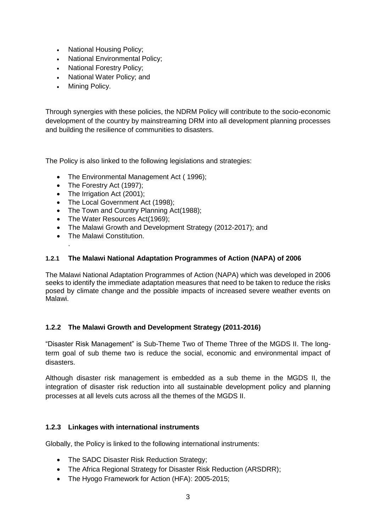- National Housing Policy;
- National Environmental Policy;
- National Forestry Policy:
- National Water Policy; and
- Mining Policy.

Through synergies with these policies, the NDRM Policy will contribute to the socio-economic development of the country by mainstreaming DRM into all development planning processes and building the resilience of communities to disasters.

The Policy is also linked to the following legislations and strategies:

- The Environmental Management Act (1996):
- The Forestry Act (1997);
- The Irrigation Act (2001);
- The Local Government Act (1998);
- The Town and Country Planning Act(1988);
- The Water Resources Act(1969):
- The Malawi Growth and Development Strategy (2012-2017): and
- **•** The Malawi Constitution

.

#### **1.2.1 The Malawi National Adaptation Programmes of Action (NAPA) of 2006**

The Malawi National Adaptation Programmes of Action (NAPA) which was developed in 2006 seeks to identify the immediate adaptation measures that need to be taken to reduce the risks posed by climate change and the possible impacts of increased severe weather events on Malawi.

#### **1.2.2 The Malawi Growth and Development Strategy (2011-2016)**

"Disaster Risk Management" is Sub-Theme Two of Theme Three of the MGDS II. The longterm goal of sub theme two is reduce the social, economic and environmental impact of disasters.

Although disaster risk management is embedded as a sub theme in the MGDS II, the integration of disaster risk reduction into all sustainable development policy and planning processes at all levels cuts across all the themes of the MGDS II.

#### **1.2.3 Linkages with international instruments**

Globally, the Policy is linked to the following international instruments:

- The SADC Disaster Risk Reduction Strategy;
- The Africa Regional Strategy for Disaster Risk Reduction (ARSDRR);
- The Hyogo Framework for Action (HFA): 2005-2015;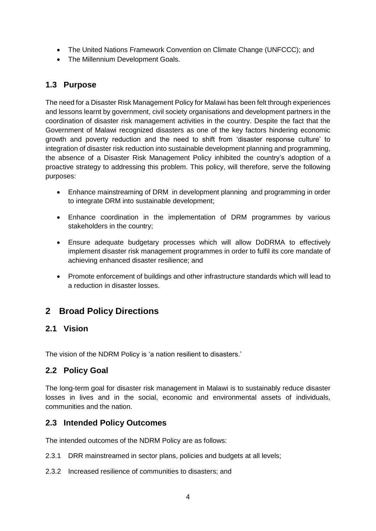- The United Nations Framework Convention on Climate Change (UNFCCC); and
- The Millennium Development Goals.

### <span id="page-10-0"></span>**1.3 Purpose**

The need for a Disaster Risk Management Policy for Malawi has been felt through experiences and lessons learnt by government, civil society organisations and development partners in the coordination of disaster risk management activities in the country. Despite the fact that the Government of Malawi recognized disasters as one of the key factors hindering economic growth and poverty reduction and the need to shift from 'disaster response culture' to integration of disaster risk reduction into sustainable development planning and programming, the absence of a Disaster Risk Management Policy inhibited the country's adoption of a proactive strategy to addressing this problem. This policy, will therefore, serve the following purposes:

- Enhance mainstreaming of DRM in development planning and programming in order to integrate DRM into sustainable development;
- Enhance coordination in the implementation of DRM programmes by various stakeholders in the country;
- Ensure adequate budgetary processes which will allow DoDRMA to effectively implement disaster risk management programmes in order to fulfil its core mandate of achieving enhanced disaster resilience; and
- Promote enforcement of buildings and other infrastructure standards which will lead to a reduction in disaster losses.

### <span id="page-10-1"></span>**2 Broad Policy Directions**

### <span id="page-10-2"></span>**2.1 Vision**

The vision of the NDRM Policy is 'a nation resilient to disasters.'

### <span id="page-10-3"></span>**2.2 Policy Goal**

The long-term goal for disaster risk management in Malawi is to sustainably reduce disaster losses in lives and in the social, economic and environmental assets of individuals, communities and the nation.

### <span id="page-10-4"></span>**2.3 Intended Policy Outcomes**

The intended outcomes of the NDRM Policy are as follows:

- 2.3.1 DRR mainstreamed in sector plans, policies and budgets at all levels;
- 2.3.2 Increased resilience of communities to disasters; and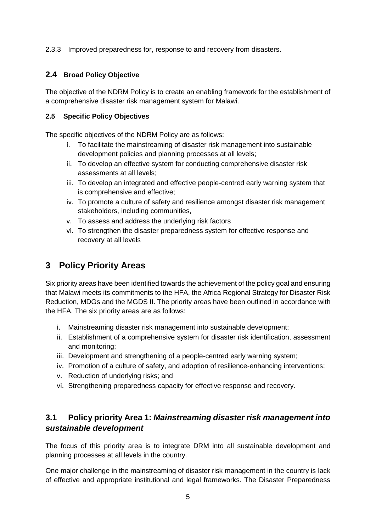2.3.3 Improved preparedness for, response to and recovery from disasters.

#### <span id="page-11-0"></span>**2.4 Broad Policy Objective**

The objective of the NDRM Policy is to create an enabling framework for the establishment of a comprehensive disaster risk management system for Malawi.

#### **2.5 Specific Policy Objectives**

The specific objectives of the NDRM Policy are as follows:

- i. To facilitate the mainstreaming of disaster risk management into sustainable development policies and planning processes at all levels;
- ii. To develop an effective system for conducting comprehensive disaster risk assessments at all levels;
- iii. To develop an integrated and effective people-centred early warning system that is comprehensive and effective;
- iv. To promote a culture of safety and resilience amongst disaster risk management stakeholders, including communities,
- v. To assess and address the underlying risk factors
- vi. To strengthen the disaster preparedness system for effective response and recovery at all levels

### <span id="page-11-1"></span>**3 Policy Priority Areas**

Six priority areas have been identified towards the achievement of the policy goal and ensuring that Malawi meets its commitments to the HFA, the Africa Regional Strategy for Disaster Risk Reduction, MDGs and the MGDS II. The priority areas have been outlined in accordance with the HFA. The six priority areas are as follows:

- i. Mainstreaming disaster risk management into sustainable development;
- ii. Establishment of a comprehensive system for disaster risk identification, assessment and monitoring;
- iii. Development and strengthening of a people-centred early warning system;
- iv. Promotion of a culture of safety, and adoption of resilience-enhancing interventions;
- v. Reduction of underlying risks; and
- vi. Strengthening preparedness capacity for effective response and recovery.

### <span id="page-11-2"></span>**3.1 Policy priority Area 1:** *Mainstreaming disaster risk management into sustainable development*

The focus of this priority area is to integrate DRM into all sustainable development and planning processes at all levels in the country.

One major challenge in the mainstreaming of disaster risk management in the country is lack of effective and appropriate institutional and legal frameworks. The Disaster Preparedness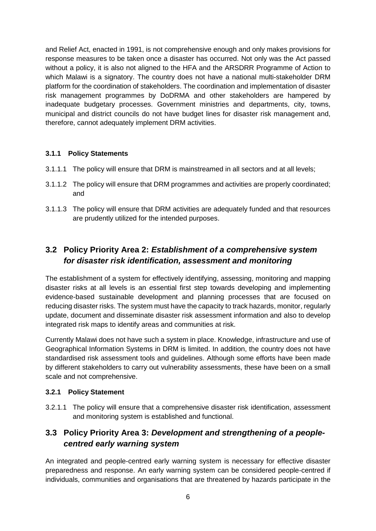and Relief Act, enacted in 1991, is not comprehensive enough and only makes provisions for response measures to be taken once a disaster has occurred. Not only was the Act passed without a policy, it is also not aligned to the HFA and the ARSDRR Programme of Action to which Malawi is a signatory. The country does not have a national multi-stakeholder DRM platform for the coordination of stakeholders. The coordination and implementation of disaster risk management programmes by DoDRMA and other stakeholders are hampered by inadequate budgetary processes. Government ministries and departments, city, towns, municipal and district councils do not have budget lines for disaster risk management and, therefore, cannot adequately implement DRM activities.

#### **3.1.1 Policy Statements**

- 3.1.1.1 The policy will ensure that DRM is mainstreamed in all sectors and at all levels;
- 3.1.1.2 The policy will ensure that DRM programmes and activities are properly coordinated; and
- 3.1.1.3 The policy will ensure that DRM activities are adequately funded and that resources are prudently utilized for the intended purposes.

### <span id="page-12-0"></span>**3.2 Policy Priority Area 2:** *Establishment of a comprehensive system for disaster risk identification, assessment and monitoring*

The establishment of a system for effectively identifying, assessing, monitoring and mapping disaster risks at all levels is an *e*ssential first step towards developing and implementing evidence-based sustainable development and planning processes that are focused on reducing disaster risks. The system must have the capacity to track hazards, monitor, regularly update, document and disseminate disaster risk assessment information and also to develop integrated risk maps to identify areas and communities at risk.

Currently Malawi does not have such a system in place. Knowledge, infrastructure and use of Geographical Information Systems in DRM is limited. In addition, the country does not have standardised risk assessment tools and guidelines. Although some efforts have been made by different stakeholders to carry out vulnerability assessments, these have been on a small scale and not comprehensive.

#### **3.2.1 Policy Statement**

3.2.1.1 The policy will ensure that a comprehensive disaster risk identification, assessment and monitoring system is established and functional.

### <span id="page-12-1"></span>**3.3 Policy Priority Area 3:** *Development and strengthening of a peoplecentred early warning system*

An integrated and people-centred early warning system is necessary for effective disaster preparedness and response. An early warning system can be considered people-centred if individuals, communities and organisations that are threatened by hazards participate in the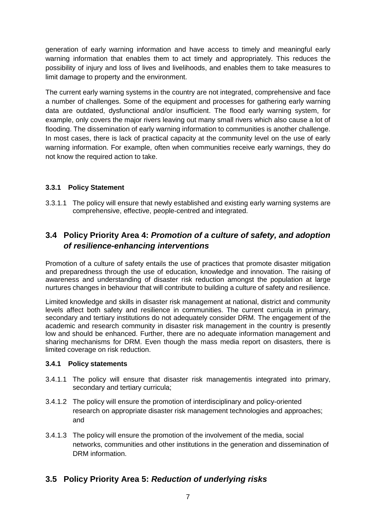generation of early warning information and have access to timely and meaningful early warning information that enables them to act timely and appropriately. This reduces the possibility of injury and loss of lives and livelihoods, and enables them to take measures to limit damage to property and the environment.

The current early warning systems in the country are not integrated, comprehensive and face a number of challenges. Some of the equipment and processes for gathering early warning data are outdated, dysfunctional and/or insufficient. The flood early warning system, for example, only covers the major rivers leaving out many small rivers which also cause a lot of flooding. The dissemination of early warning information to communities is another challenge. In most cases, there is lack of practical capacity at the community level on the use of early warning information. For example, often when communities receive early warnings, they do not know the required action to take.

#### **3.3.1 Policy Statement**

3.3.1.1 The policy will ensure that newly established and existing early warning systems are comprehensive, effective, people-centred and integrated.

### <span id="page-13-0"></span>**3.4 Policy Priority Area 4:** *Promotion of a culture of safety, and adoption of resilience-enhancing interventions*

Promotion of a culture of safety entails the use of practices that promote disaster mitigation and preparedness through the use of education, knowledge and innovation. The raising of awareness and understanding of disaster risk reduction amongst the population at large nurtures changes in behaviour that will contribute to building a culture of safety and resilience.

Limited knowledge and skills in disaster risk management at national, district and community levels affect both safety and resilience in communities. The current curricula in primary, secondary and tertiary institutions do not adequately consider DRM. The engagement of the academic and research community in disaster risk management in the country is presently low and should be enhanced. Further, there are no adequate information management and sharing mechanisms for DRM. Even though the mass media report on disasters, there is limited coverage on risk reduction.

#### **3.4.1 Policy statements**

- 3.4.1.1 The policy will ensure that disaster risk managementis integrated into primary, secondary and tertiary curricula;
- 3.4.1.2 The policy will ensure the promotion of interdisciplinary and policy-oriented research on appropriate disaster risk management technologies and approaches; and
- 3.4.1.3 The policy will ensure the promotion of the involvement of the media, social networks, communities and other institutions in the generation and dissemination of DRM information.

#### <span id="page-13-1"></span>**3.5 Policy Priority Area 5:** *Reduction of underlying risks*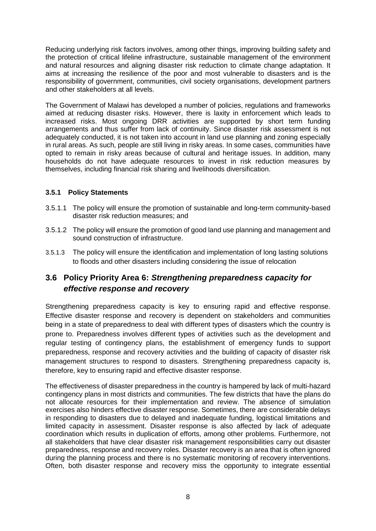Reducing underlying risk factors involves, among other things, improving building safety and the protection of critical lifeline infrastructure, sustainable management of the environment and natural resources and aligning disaster risk reduction to climate change adaptation. It aims at increasing the resilience of the poor and most vulnerable to disasters and is the responsibility of government, communities, civil society organisations, development partners and other stakeholders at all levels.

The Government of Malawi has developed a number of policies, regulations and frameworks aimed at reducing disaster risks. However, there is laxity in enforcement which leads to increased risks. Most ongoing DRR activities are supported by short term funding arrangements and thus suffer from lack of continuity. Since disaster risk assessment is not adequately conducted, it is not taken into account in land use planning and zoning especially in rural areas. As such, people are still living in risky areas. In some cases, communities have opted to remain in risky areas because of cultural and heritage issues. In addition, many households do not have adequate resources to invest in risk reduction measures by themselves, including financial risk sharing and livelihoods diversification.

#### **3.5.1 Policy Statements**

- 3.5.1.1 The policy will ensure the promotion of sustainable and long-term community-based disaster risk reduction measures; and
- 3.5.1.2 The policy will ensure the promotion of good land use planning and management and sound construction of infrastructure.
- 3.5.1.3 The policy will ensure the identification and implementation of long lasting solutions to floods and other disasters including considering the issue of relocation

### <span id="page-14-0"></span>**3.6 Policy Priority Area 6:** *Strengthening preparedness capacity for effective response and recovery*

Strengthening preparedness capacity is key to ensuring rapid and effective response. Effective disaster response and recovery is dependent on stakeholders and communities being in a state of preparedness to deal with different types of disasters which the country is prone to. Preparedness involves different types of activities such as the development and regular testing of contingency plans, the establishment of emergency funds to support preparedness, response and recovery activities and the building of capacity of disaster risk management structures to respond to disasters. Strengthening preparedness capacity is, therefore, key to ensuring rapid and effective disaster response.

The effectiveness of disaster preparedness in the country is hampered by lack of multi-hazard contingency plans in most districts and communities. The few districts that have the plans do not allocate resources for their implementation and review. The absence of simulation exercises also hinders effective disaster response. Sometimes, there are considerable delays in responding to disasters due to delayed and inadequate funding, logistical limitations and limited capacity in assessment. Disaster response is also affected by lack of adequate coordination which results in duplication of efforts, among other problems. Furthermore, not all stakeholders that have clear disaster risk management responsibilities carry out disaster preparedness, response and recovery roles. Disaster recovery is an area that is often ignored during the planning process and there is no systematic monitoring of recovery interventions. Often, both disaster response and recovery miss the opportunity to integrate essential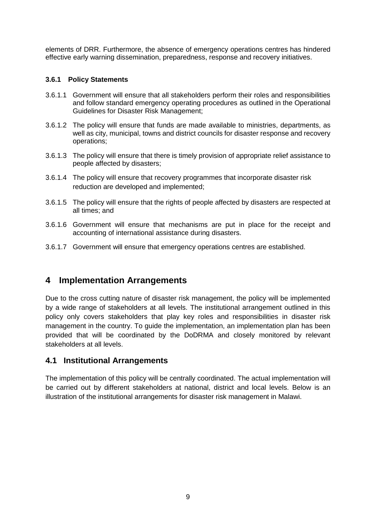elements of DRR. Furthermore, the absence of emergency operations centres has hindered effective early warning dissemination, preparedness, response and recovery initiatives.

#### **3.6.1 Policy Statements**

- 3.6.1.1 Government will ensure that all stakeholders perform their roles and responsibilities and follow standard emergency operating procedures as outlined in the Operational Guidelines for Disaster Risk Management;
- 3.6.1.2 The policy will ensure that funds are made available to ministries, departments, as well as city, municipal, towns and district councils for disaster response and recovery operations;
- 3.6.1.3 The policy will ensure that there is timely provision of appropriate relief assistance to people affected by disasters;
- 3.6.1.4 The policy will ensure that recovery programmes that incorporate disaster risk reduction are developed and implemented;
- 3.6.1.5 The policy will ensure that the rights of people affected by disasters are respected at all times; and
- 3.6.1.6 Government will ensure that mechanisms are put in place for the receipt and accounting of international assistance during disasters.
- 3.6.1.7 Government will ensure that emergency operations centres are established.

### <span id="page-15-0"></span>**4 Implementation Arrangements**

Due to the cross cutting nature of disaster risk management, the policy will be implemented by a wide range of stakeholders at all levels. The institutional arrangement outlined in this policy only covers stakeholders that play key roles and responsibilities in disaster risk management in the country. To guide the implementation, an implementation plan has been provided that will be coordinated by the DoDRMA and closely monitored by relevant stakeholders at all levels.

#### <span id="page-15-1"></span>**4.1 Institutional Arrangements**

The implementation of this policy will be centrally coordinated. The actual implementation will be carried out by different stakeholders at national, district and local levels. Below is an illustration of the institutional arrangements for disaster risk management in Malawi.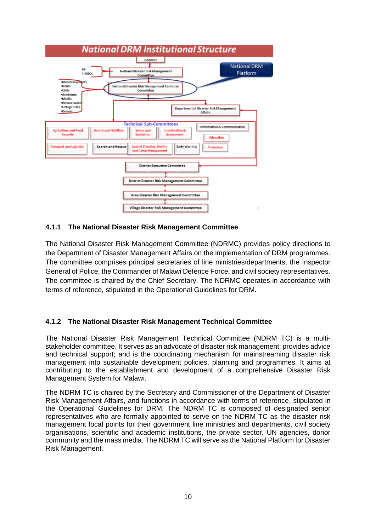

#### **4.1.1 The National Disaster Risk Management Committee**

The National Disaster Risk Management Committee (NDRMC) provides policy directions to the Department of Disaster Management Affairs on the implementation of DRM programmes. The committee comprises principal secretaries of line ministries/departments, the Inspector General of Police, the Commander of Malawi Defence Force, and civil society representatives. The committee is chaired by the Chief Secretary. The NDRMC operates in accordance with terms of reference, stipulated in the Operational Guidelines for DRM.

#### **4.1.2 The National Disaster Risk Management Technical Committee**

The National Disaster Risk Management Technical Committee (NDRM TC) is a multistakeholder committee. It serves as an advocate of disaster risk management; provides advice and technical support; and is the coordinating mechanism for mainstreaming disaster risk management into sustainable development policies, planning and programmes. It aims at contributing to the establishment and development of a comprehensive Disaster Risk Management System for Malawi.

The NDRM TC is chaired by the Secretary and Commissioner of the Department of Disaster Risk Management Affairs, and functions in accordance with terms of reference, stipulated in the Operational Guidelines for DRM. The NDRM TC is composed of designated senior representatives who are formally appointed to serve on the NDRM TC as the disaster risk management focal points for their government line ministries and departments, civil society organisations, scientific and academic institutions, the private sector, UN agencies, donor community and the mass media. The NDRM TC will serve as the National Platform for Disaster Risk Management.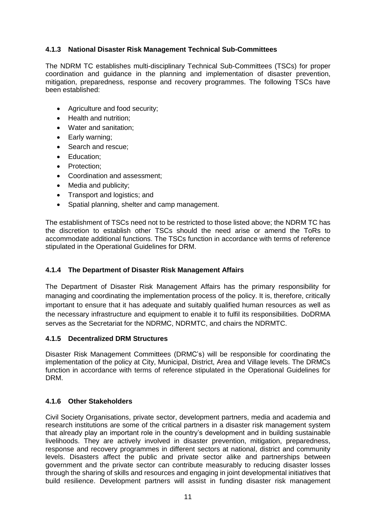#### **4.1.3 National Disaster Risk Management Technical Sub-Committees**

The NDRM TC establishes multi-disciplinary Technical Sub-Committees (TSCs) for proper coordination and guidance in the planning and implementation of disaster prevention, mitigation, preparedness, response and recovery programmes. The following TSCs have been established:

- Agriculture and food security;
- Health and nutrition;
- Water and sanitation;
- Early warning;
- Search and rescue;
- Education:
- Protection;
- Coordination and assessment;
- Media and publicity;
- Transport and logistics; and
- Spatial planning, shelter and camp management.

The establishment of TSCs need not to be restricted to those listed above; the NDRM TC has the discretion to establish other TSCs should the need arise or amend the ToRs to accommodate additional functions. The TSCs function in accordance with terms of reference stipulated in the Operational Guidelines for DRM.

#### **4.1.4 The Department of Disaster Risk Management Affairs**

The Department of Disaster Risk Management Affairs has the primary responsibility for managing and coordinating the implementation process of the policy. It is, therefore, critically important to ensure that it has adequate and suitably qualified human resources as well as the necessary infrastructure and equipment to enable it to fulfil its responsibilities. DoDRMA serves as the Secretariat for the NDRMC, NDRMTC, and chairs the NDRMTC.

#### **4.1.5 Decentralized DRM Structures**

Disaster Risk Management Committees (DRMC's) will be responsible for coordinating the implementation of the policy at City, Municipal, District, Area and Village levels. The DRMCs function in accordance with terms of reference stipulated in the Operational Guidelines for DRM.

#### **4.1.6 Other Stakeholders**

Civil Society Organisations, private sector, development partners, media and academia and research institutions are some of the critical partners in a disaster risk management system that already play an important role in the country's development and in building sustainable livelihoods. They are actively involved in disaster prevention, mitigation, preparedness, response and recovery programmes in different sectors at national, district and community levels. Disasters affect the public and private sector alike and partnerships between government and the private sector can contribute measurably to reducing disaster losses through the sharing of skills and resources and engaging in joint developmental initiatives that build resilience. Development partners will assist in funding disaster risk management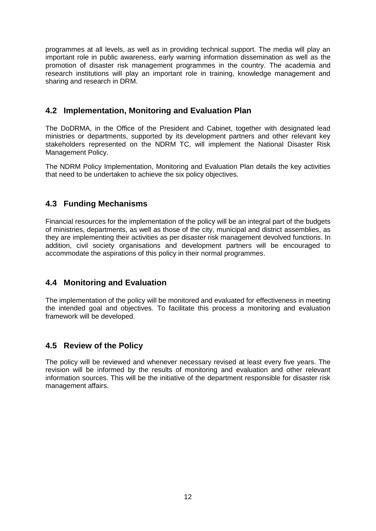programmes at all levels, as well as in providing technical support. The media will play an important role in public awareness, early warning information dissemination as well as the promotion of disaster risk management programmes in the country. The academia and research institutions will play an important role in training, knowledge management and sharing and research in DRM.

#### <span id="page-18-0"></span>**4.2 Implementation, Monitoring and Evaluation Plan**

The DoDRMA, in the Office of the President and Cabinet, together with designated lead ministries or departments, supported by its development partners and other relevant key stakeholders represented on the NDRM TC, will implement the National Disaster Risk Management Policy.

The NDRM Policy Implementation, Monitoring and Evaluation Plan details the key activities that need to be undertaken to achieve the six policy objectives.

### <span id="page-18-1"></span>**4.3 Funding Mechanisms**

Financial resources for the implementation of the policy will be an integral part of the budgets of ministries, departments, as well as those of the city, municipal and district assemblies, as they are implementing their activities as per disaster risk management devolved functions. In addition, civil society organisations and development partners will be encouraged to accommodate the aspirations of this policy in their normal programmes.

#### <span id="page-18-2"></span>**4.4 Monitoring and Evaluation**

The implementation of the policy will be monitored and evaluated for effectiveness in meeting the intended goal and objectives. To facilitate this process a monitoring and evaluation framework will be developed.

### <span id="page-18-3"></span>**4.5 Review of the Policy**

The policy will be reviewed and whenever necessary revised at least every five years. The revision will be informed by the results of monitoring and evaluation and other relevant information sources. This will be the initiative of the department responsible for disaster risk management affairs.